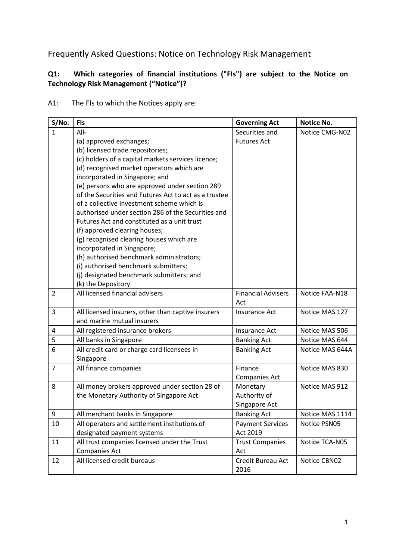# Frequently Asked Questions: Notice on Technology Risk Management

## **Q1: Which categories of financial institutions ("FIs") are subject to the Notice on Technology Risk Management ("Notice")?**

#### A1: The FIs to which the Notices apply are:

| S/No.            | <b>FIs</b>                                            | <b>Governing Act</b>      | <b>Notice No.</b> |
|------------------|-------------------------------------------------------|---------------------------|-------------------|
| $\mathbf{1}$     | All-                                                  | Securities and            | Notice CMG-N02    |
|                  | (a) approved exchanges;                               | <b>Futures Act</b>        |                   |
|                  | (b) licensed trade repositories;                      |                           |                   |
|                  | (c) holders of a capital markets services licence;    |                           |                   |
|                  | (d) recognised market operators which are             |                           |                   |
|                  | incorporated in Singapore; and                        |                           |                   |
|                  | (e) persons who are approved under section 289        |                           |                   |
|                  | of the Securities and Futures Act to act as a trustee |                           |                   |
|                  | of a collective investment scheme which is            |                           |                   |
|                  | authorised under section 286 of the Securities and    |                           |                   |
|                  | Futures Act and constituted as a unit trust           |                           |                   |
|                  | (f) approved clearing houses;                         |                           |                   |
|                  | (g) recognised clearing houses which are              |                           |                   |
|                  | incorporated in Singapore;                            |                           |                   |
|                  | (h) authorised benchmark administrators;              |                           |                   |
|                  | (i) authorised benchmark submitters;                  |                           |                   |
|                  | (j) designated benchmark submitters; and              |                           |                   |
|                  | (k) the Depository                                    |                           |                   |
| $\overline{2}$   | All licensed financial advisers                       | <b>Financial Advisers</b> | Notice FAA-N18    |
|                  |                                                       | Act                       |                   |
| 3                | All licensed insurers, other than captive insurers    | Insurance Act             | Notice MAS 127    |
|                  | and marine mutual insurers                            |                           |                   |
| 4                | All registered insurance brokers                      | Insurance Act             | Notice MAS 506    |
| 5                | All banks in Singapore                                | <b>Banking Act</b>        | Notice MAS 644    |
| 6                | All credit card or charge card licensees in           | <b>Banking Act</b>        | Notice MAS 644A   |
|                  | Singapore                                             |                           |                   |
| $\overline{7}$   | All finance companies                                 | Finance                   | Notice MAS 830    |
|                  |                                                       | <b>Companies Act</b>      |                   |
| 8                | All money brokers approved under section 28 of        | Monetary                  | Notice MAS 912    |
|                  | the Monetary Authority of Singapore Act               | Authority of              |                   |
|                  |                                                       | Singapore Act             |                   |
| $\boldsymbol{9}$ | All merchant banks in Singapore                       | <b>Banking Act</b>        | Notice MAS 1114   |
| 10               | All operators and settlement institutions of          | <b>Payment Services</b>   | Notice PSN05      |
|                  | designated payment systems                            | Act 2019                  |                   |
| 11               | All trust companies licensed under the Trust          | <b>Trust Companies</b>    | Notice TCA-N05    |
|                  | <b>Companies Act</b>                                  | Act                       |                   |
| 12               | All licensed credit bureaus                           | Credit Bureau Act         | Notice CBN02      |
|                  |                                                       | 2016                      |                   |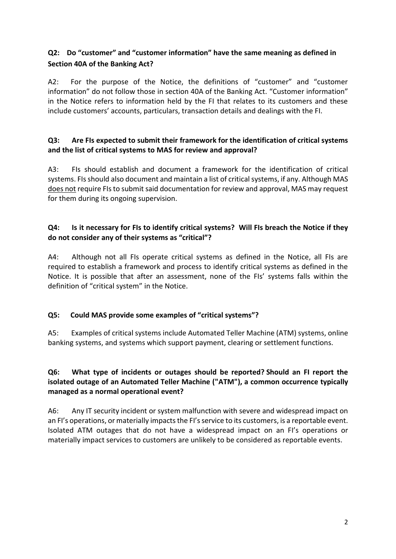## **Q2: Do "customer" and "customer information" have the same meaning as defined in Section 40A of the Banking Act?**

A2: For the purpose of the Notice, the definitions of "customer" and "customer information" do not follow those in section 40A of the Banking Act. "Customer information" in the Notice refers to information held by the FI that relates to its customers and these include customers' accounts, particulars, transaction details and dealings with the FI.

## **Q3: Are FIs expected to submit their framework for the identification of critical systems and the list of critical systems to MAS for review and approval?**

A3: FIs should establish and document a framework for the identification of critical systems. FIs should also document and maintain a list of critical systems, if any. Although MAS does not require FIs to submit said documentation for review and approval, MAS may request for them during its ongoing supervision.

#### **Q4: Is it necessary for FIs to identify critical systems? Will FIs breach the Notice if they do not consider any of their systems as "critical"?**

A4: Although not all FIs operate critical systems as defined in the Notice, all FIs are required to establish a framework and process to identify critical systems as defined in the Notice. It is possible that after an assessment, none of the FIs' systems falls within the definition of "critical system" in the Notice.

#### **Q5: Could MAS provide some examples of "critical systems"?**

A5: Examples of critical systems include Automated Teller Machine (ATM) systems, online banking systems, and systems which support payment, clearing or settlement functions.

## **Q6: What type of incidents or outages should be reported? Should an FI report the isolated outage of an Automated Teller Machine ("ATM"), a common occurrence typically managed as a normal operational event?**

A6: Any IT security incident or system malfunction with severe and widespread impact on an FI's operations, or materially impacts the FI's service to its customers, is a reportable event. Isolated ATM outages that do not have a widespread impact on an FI's operations or materially impact services to customers are unlikely to be considered as reportable events.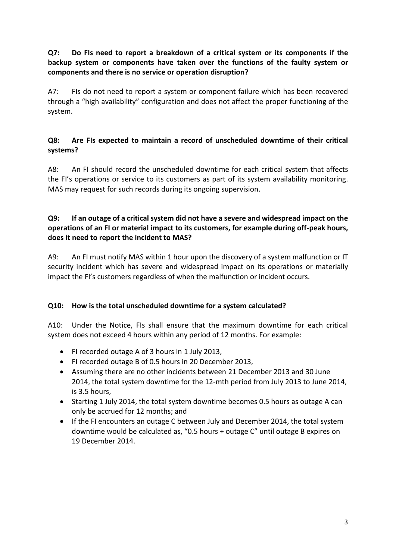## **Q7: Do FIs need to report a breakdown of a critical system or its components if the backup system or components have taken over the functions of the faulty system or components and there is no service or operation disruption?**

A7: FIs do not need to report a system or component failure which has been recovered through a "high availability" configuration and does not affect the proper functioning of the system.

## **Q8: Are FIs expected to maintain a record of unscheduled downtime of their critical systems?**

A8: An FI should record the unscheduled downtime for each critical system that affects the FI's operations or service to its customers as part of its system availability monitoring. MAS may request for such records during its ongoing supervision.

#### **Q9: If an outage of a critical system did not have a severe and widespread impact on the operations of an FI or material impact to its customers, for example during off-peak hours, does it need to report the incident to MAS?**

A9: An FI must notify MAS within 1 hour upon the discovery of a system malfunction or IT security incident which has severe and widespread impact on its operations or materially impact the FI's customers regardless of when the malfunction or incident occurs.

#### **Q10: How is the total unscheduled downtime for a system calculated?**

A10: Under the Notice, FIs shall ensure that the maximum downtime for each critical system does not exceed 4 hours within any period of 12 months. For example:

- FI recorded outage A of 3 hours in 1 July 2013,
- FI recorded outage B of 0.5 hours in 20 December 2013,
- Assuming there are no other incidents between 21 December 2013 and 30 June 2014, the total system downtime for the 12-mth period from July 2013 to June 2014, is 3.5 hours,
- Starting 1 July 2014, the total system downtime becomes 0.5 hours as outage A can only be accrued for 12 months; and
- If the FI encounters an outage C between July and December 2014, the total system downtime would be calculated as, "0.5 hours + outage C" until outage B expires on 19 December 2014.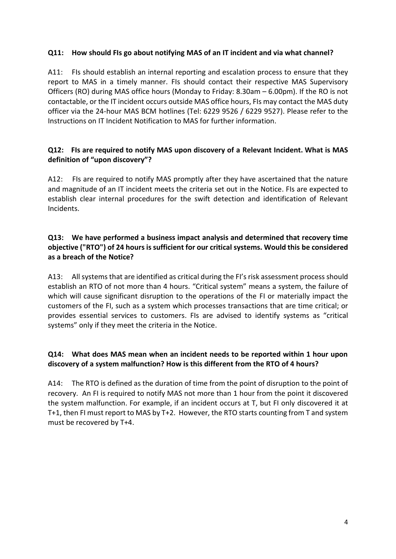## **Q11: How should FIs go about notifying MAS of an IT incident and via what channel?**

A11: FIs should establish an internal reporting and escalation process to ensure that they report to MAS in a timely manner. FIs should contact their respective MAS Supervisory Officers (RO) during MAS office hours (Monday to Friday: 8.30am – 6.00pm). If the RO is not contactable, or the IT incident occurs outside MAS office hours, FIs may contact the MAS duty officer via the 24-hour MAS BCM hotlines (Tel: 6229 9526 / 6229 9527). Please refer to the Instructions on IT Incident Notification to MAS for further information.

## **Q12: FIs are required to notify MAS upon discovery of a Relevant Incident. What is MAS definition of "upon discovery"?**

A12: FIs are required to notify MAS promptly after they have ascertained that the nature and magnitude of an IT incident meets the criteria set out in the Notice. FIs are expected to establish clear internal procedures for the swift detection and identification of Relevant Incidents.

## **Q13: We have performed a business impact analysis and determined that recovery time objective ("RTO") of 24 hours is sufficient for our critical systems. Would this be considered as a breach of the Notice?**

A13: All systems that are identified as critical during the FI's risk assessment process should establish an RTO of not more than 4 hours. "Critical system" means a system, the failure of which will cause significant disruption to the operations of the FI or materially impact the customers of the FI, such as a system which processes transactions that are time critical; or provides essential services to customers. FIs are advised to identify systems as "critical systems" only if they meet the criteria in the Notice.

## **Q14: What does MAS mean when an incident needs to be reported within 1 hour upon discovery of a system malfunction? How is this different from the RTO of 4 hours?**

A14: The RTO is defined as the duration of time from the point of disruption to the point of recovery. An FI is required to notify MAS not more than 1 hour from the point it discovered the system malfunction. For example, if an incident occurs at T, but FI only discovered it at T+1, then FI must report to MAS by T+2. However, the RTO starts counting from T and system must be recovered by T+4.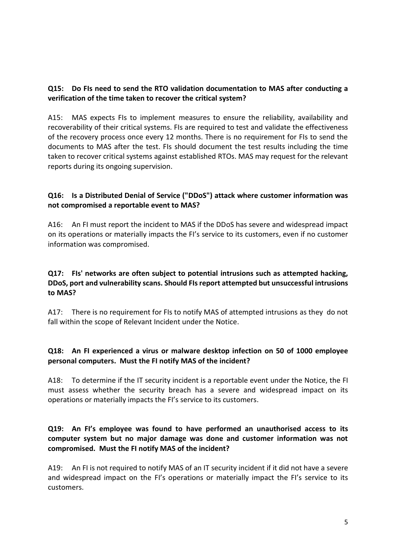#### **Q15: Do FIs need to send the RTO validation documentation to MAS after conducting a verification of the time taken to recover the critical system?**

A15: MAS expects FIs to implement measures to ensure the reliability, availability and recoverability of their critical systems. FIs are required to test and validate the effectiveness of the recovery process once every 12 months. There is no requirement for FIs to send the documents to MAS after the test. FIs should document the test results including the time taken to recover critical systems against established RTOs. MAS may request for the relevant reports during its ongoing supervision.

## **Q16: Is a Distributed Denial of Service ("DDoS") attack where customer information was not compromised a reportable event to MAS?**

A16: An FI must report the incident to MAS if the DDoS has severe and widespread impact on its operations or materially impacts the FI's service to its customers, even if no customer information was compromised.

## **Q17: FIs' networks are often subject to potential intrusions such as attempted hacking, DDoS, port and vulnerability scans. Should FIs report attempted but unsuccessful intrusions to MAS?**

A17: There is no requirement for FIs to notify MAS of attempted intrusions as they do not fall within the scope of Relevant Incident under the Notice.

## **Q18: An FI experienced a virus or malware desktop infection on 50 of 1000 employee personal computers. Must the FI notify MAS of the incident?**

A18: To determine if the IT security incident is a reportable event under the Notice, the FI must assess whether the security breach has a severe and widespread impact on its operations or materially impacts the FI's service to its customers.

#### **Q19: An FI's employee was found to have performed an unauthorised access to its computer system but no major damage was done and customer information was not compromised. Must the FI notify MAS of the incident?**

A19: An FI is not required to notify MAS of an IT security incident if it did not have a severe and widespread impact on the FI's operations or materially impact the FI's service to its customers.